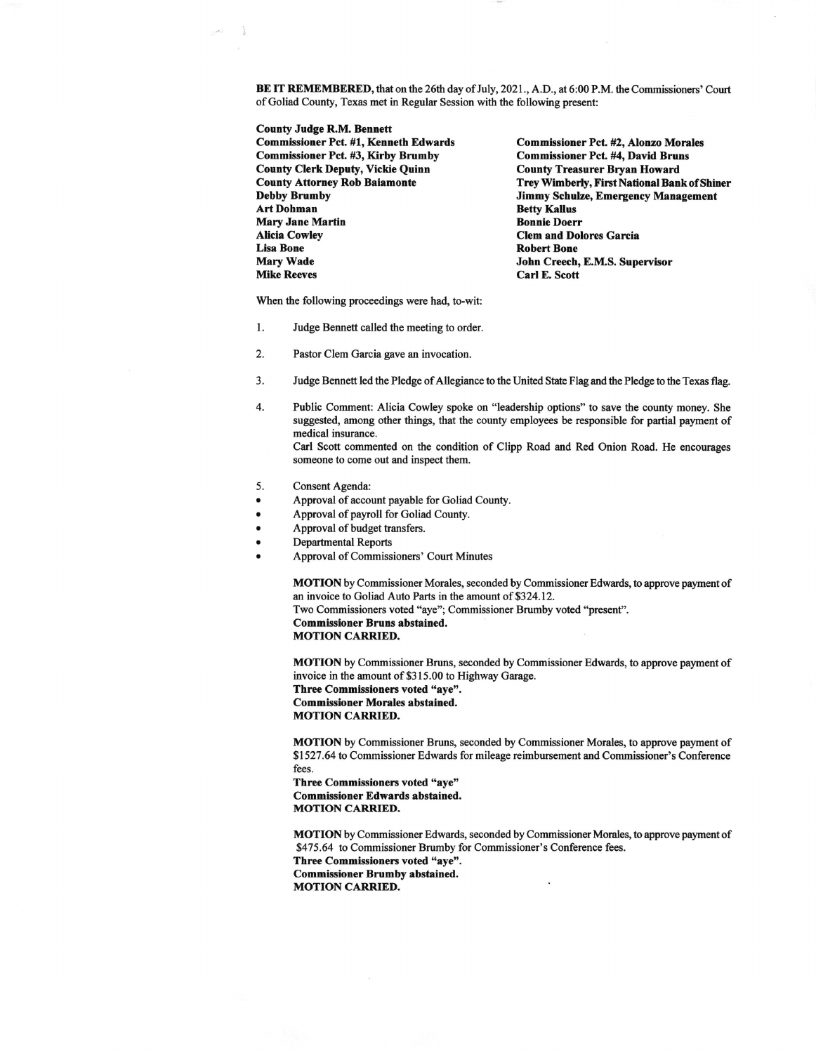BE IT REMEMBERED, that on the 26th day of July, 2021., A.D., at 6:00 P.M. the Commissioners' Court of Goliad County, Texas met in Regular Session with the following present:

County Judge R,M. Bennett

Commissioner Pct. #1, Kenneth Edwards Commissioner Pct. #2, Alonzo Morales<br>Commissioner Pct. #3, Kirby Brumby Commissioner Pct. #4, David Bruns Commissioner Pct. #3, Kirby Brumby Commissioner Pct. #4, David Brun<br>County Clerk Deputy, Vickie Quinn County Treasurer Bryan Howard County Clerk Deputy, Vickie Quinn<br>County Attorney Rob Baiamonte Art Dohman Betty Kallus Mary Jane Martin<br>Alicia Cowley Alicia Cowley **Clem and Dolores Garcia**<br>
Lisa Bone Clem and Dolores Garcia Lisa Bone Robert Bone Mary Wade Solution School of Text John Creech, E.M.S. Supervisor<br>
Carl E. Scott Carl E. Scott

County Attorney Rob Baiamonte<br>
Trey Wimberly, First National Bank of Shiner<br>
Ummy Schulze, Emergency Management Jimmy Schulze, Emergency Management<br>Betty Kallus Carl E. Scott

When the following proceedings were had, to-wit:

- l. Judge Bennett called the meeting to order.
- 2. Pastor Clem Garcia gave an invocation.
- 3. Judge Bennett led the Pledge of Allegiance to the United State Flag and the Pledge to the Texas flag.
- 4. Public Comment: Alicia Cowley spoke on "leadership options" to save the county money. She suggested, among other things, that the county employees be responsible for partial payment of medical insurance. Carl Scott commented on the condition of Clipp Road and Red Onion Road. He encourages

someone to come out and inspect them.

- 5. Consent Agenda:
- Approval of account payable for Goliad County.
- Approval of payroll for Goliad County.
- Approval of budget transfers.
- . Departmental Reports
- . Approval of Commissioners' Court Minutes

MOTION by Commissioner Morales, seconded by Commissioner Edwards, to approve payment of an invoice to Goliad Auto Parts in the amount of \$324.12.

Two Commissioners voted "aye"; Commissioner Brumby voted "present". Commissioner Bruns abstained.

**MOTION CARRIED.** 

MOTION by Commissioner Bruns, seconded by Commissioner Edwards, to approve payment of invoice in the amount of \$3 15.00 to Highway Garage. Three Commissioners voted "aye".

Commissioner Morales abstained. **MOTION CARRIED.** 

MOTION by Commissioner Bruns, seconded by Commissioner Morales, to approve payment of \$1527 .64 to Commissioner Edwards for mileage reimbursement and Commissioner's Conference fees.

Three Commissioners voted "aye" Commissioner Edwards abstained. **MOTION CARRIED.** 

MOTION by Commissioner Edwards, seconded by Commissioner Morales, to approve payment of \$475.64 to Commissioner Brumby for Commissioner's Conference fees.

Three Commissioners voted "aye". Commissioner Brumby abstained. MOTION CARRIED.